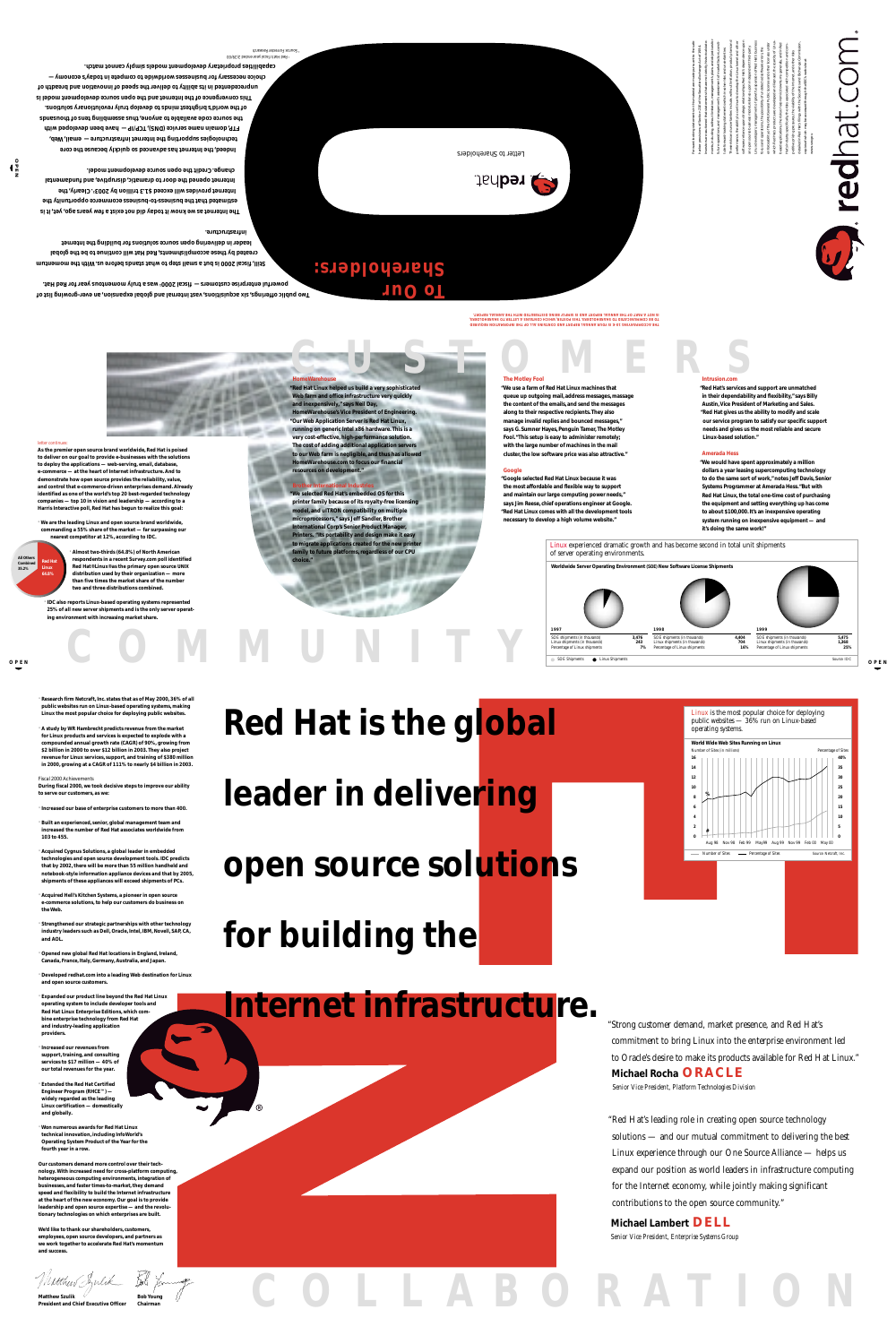**As the premier open source brand worldwide, Red Hat is poised to deliver on our goal to provide e-businesses with the solutions to deploy the applications — web-serving, email, database,**

**e-commerce — at the heart of Internet infrastructure. And to demonstrate how open source provides the reliability, value, and control that e-commerce-driven enterprises demand. Already identified as one of the world's top 20 best-regarded technology companies — top 10 in vision and leadership — according to a Harris Interactive poll, Red Hat has begun to realize this goal:**

**OPEN OPEN** SOE Shipments **Conserversity** Linux Shipments Source: IDC

**· We are the leading Linux and open source brand worldwide, commanding a 55% share of the market — far surpassing our nearest competitor at 12%, according to IDC.**

> **· Almost two-thirds (64.8%) of North American respondents in a recent Survey.com poll identified Red Hat® Linux® as the primary open source UNIX distribution used by their organization — more than five times the market share of the number two and three distributions combined.**

**· IDC also reports Linux-based operating systems represented 25% of all new server shipments and is the only server operating environment with increasing market share.**

**resources on development." Google** 

### **Rightar Indust**

**OPEN**

**· Research firm Netcraft, Inc. states that as of May 2000, 36% of all public websites run on Linux-based operating systems, making Linux the most popular choice for deploying public websites.**

**· A study by WR Hambrecht predicts revenue from the market for Linux products and services is expected to explode with a compounded annual growth rate (CAGR) of 90%, growing from \$2 billion in 2000 to over \$12 billion in 2003. They also project revenue for Linux services, support, and training of \$380 million in 2000, growing at a CAGR of 111% to nearly \$4 billion in 2003.**

Fiscal 2000 Achievements

**During fiscal 2000, we took decisive steps to improve our ability to serve our customers, as we:**

**· Increased our base of enterprise customers to more than 400.**

**· Built an experienced, senior, global management team and increased the number of Red Hat associates worldwide from 103 to 455.**

**Matthew Szulik**  $\overline{a}$  **Bob Young President and Chief Executive Officer Chairman**

**· Acquired Cygnus Solutions, a global leader in embedded technologies and open source development tools. IDC predicts that by 2002, there will be more than 55 million handheld and notebook-style information appliance devices and that by 2005, shipments of these appliances will exceed shipments of PCs.**

**· Acquired Hell's Kitchen Systems, a pioneer in open source e-commerce solutions, to help our customers do business on the Web.**

**· Strengthened our strategic partnerships with other technology industry leaders such as Dell, Oracle, Intel, IBM, Novell, SAP, CA,**

**and AOL.**

**· Opened new global Red Hat locations in England, Ireland, Canada, France, Italy, Germany, Australia, and Japan.**

**· Developed redhat.com into a leading Web destination for Linux and open source customers.**

**· Expanded our product line beyond the Red Hat Linux operating system to include developer tools and Red Hat Linux Enterprise Editions, which combine enterprise technology from Red Hat and industry-leading application providers.**

Letter to Shareholders **CEA** redhat.



**· Increased our revenues from support, training, and consulting services to \$17 million — 40% of our total revenues for the year.**

**· Extended the Red Hat Certified Engineer Program (RHCE™) widely regarded as the leading Linux certification — domestically and globally.**

**· Won numerous awards for Red Hat Linux technical innovation, including** *InfoWorld***'s Operating System Product of the Year for the fourth year in a row.**

**Our customers demand more control over their technology. With increased need for cross-platform computing, heterogeneous computing environments, integration of businesses, and faster times-to-market, they demand speed and flexibility to build the Internet infrastructure at the heart of the new economy. Our goal is to provide leadership and open source expertise — and the revolutionary technologies on which enterprises are built.**

**We'd like to thank our shareholders, customers, employees, open source developers, and partners as we work together to accelerate Red Hat's momentum and success.**

**THE ACCOMPANYING 10-K IS YOUR ANNUAL REPORT AND CONTAINS ALL OF THE INFORMATION REQUIRED TO BE COMMUNICATED TO SHAREHOLDERS. THIS POSTER, WHICH CONTAINS A LETTER TO SHAREHOLDERS, IS NOT A PART OF THE ANNUAL REPORT AND IS SIMPLY BEING DISTRIBUTED WITH THE ANNUAL REPORT.**

**Two public offerings, six acquisitions, vast internal and global expansion, an ever-growing list of powerful enterprise customers — fiscal 2000 was a truly momentous year for Red Hat. 1**

**Still, fiscal 2000 is but a small step to what stands before us. With the momentum created by these accomplishments, Red Hat will continue to be the global leader in delivering open source solutions for building the Internet** 

### **infrastructure.**

**The Internet as we know it today did not exist a few years ago, yet, it is estimated that the business-to-business ecommerce opportunity the Internet provides will exceed \$1.3 trillion by 20032 . Clearly, the Internet opened the door to dramatic, disruptive, and fundamental change. Credit the open source development model.**

**Indeed, the Internet has advanced so quickly because the core technologies supporting the Internet infrastructure — email, Web, FTP, domain name service (DNS), TCP/IP — have been developed with the source code available to anyone, thus assembling tens of thousands of the world's brightest minds to develop truly revolutionary solutions. This convergence of the Internet and the open source development model is unprecedented in its ability to deliver the speed of innovation and breadth of choice necessary for businesses worldwide to compete in today's economy capabilities proprietary development models simply cannot match.**

1 Red Hat's fiscal year ended 2/29/00 2 Source: Forrester Research

**Red Hat Linux 64.8% All Others Combined 35.2%**

**To Our** 

**Shareholders:**

## **Red Hat is the global**

**leader in delivering** 

### **open source solutions**

# **for building the**

### **Internet infrastructure.**

**COLLABORATION**

**COMMUNITY**

**®** 







### **"Red Hat Linux helped us build a very sophisticated Web farm and office infrastructure very quickly and inexpensively," says Neil Day, HomeWarehouse's Vice President of Engineering. "Our Web Application Server is Red Hat Linux, running on generic Intel x86 hardware. This is a very cost-effective, high-performance solution. The cost of adding additional application servers to our Web farm is negligible, and thus has allowed**

# **HomeWarehouse.com to focus our financial**

**"Google selected Red Hat Linux because it was the most affordable and flexible way to support and maintain our large computing power needs," says Jim Reese, chief operations engineer at Google. "Red Hat Linux comes with all the development tools necessary to develop a high volume website."**

### **Amerada Hess**

**"We would have spent approximately a million** 

**dollars a year leasing supercomputing technology to do the same sort of work," notes Jeff Davis, Senior Systems Programmer at Amerada Hess."But with Red Hat Linux, the total one-time cost of purchasing the equipment and setting everything up has come to about \$100,000. It's an inexpensive operating system running on inexpensive equipment — and it's doing the same work!"**



### **The Motley Fool**

**"We use a farm of Red Hat Linux machines that queue up outgoing mail, address messages, massage the content of the emails, and send the messages along to their respective recipients. They also manage invalid replies and bounced messages," says G. Sumner Hayes, Penguin Tamer, The Motley Fool."This setup is easy to administer remotely; with the large number of machines in the mail cluster, the low software price was also attractive."**

**"We selected Red Hat's embedded OS for this printer family because of its royalty-free licensing model, and uITRON compatibility on multiple microprocessors," says Jeff Sandler, Brother International Corp's Senior Product Manager, Printers. "Its portability and design make it easy to migrate applications created for the new printer family to future platforms, regardless of our CPU choice."**

### **Intrusion.com**

**"Red Hat's services and support are unmatched in their dependability and flexibility," says Billy Austin, Vice President of Marketing and Sales. "Red Hat gives us the ability to modify and scale our service program to satisfy our specific support needs and gives us the most reliable and secure Linux-based solution."**

### *letter continues:*

Forward-looking statements in this material are made pursuant to the safe harbor provisions of Section 21E of the Securities Exchange Act of 1934. nvestors are cautioned that statements that are not strictly historical statements, including, without limitation, management's plans and objectives for future operations, and management's assessment of market factors, constitute forward-looking statements which involve risks and uncertainties. These risks and uncertainties include, without limitation, product plans and performance, the ability to continue to develop the Linux kernel and other software, reliance upon strategic relationships, Red Hat's dependence upon an open source business model, reliance upon independent third-party Linux developers, management of growth, expansion of Red Hat's business focus and operations, the possibility of undetected software errors, the enforceability of the GNU General Public License and other licenses under which Red Hat's products are developed and licensed, the scarcity of Linuxbased applications, the risks of economic downturns generally, and in Red Hat's industry specifically, the risks associated with competition and competitive pricing pressures, the viability of the Internet, and other risks detailed in Red Hat's filings with the Securities and Exchange Commission,

copies of which may be accessed through the SEC's web site at

www.sec.gov.



"Strong customer demand, market presence, and Red Hat's commitment to bring Linux into the enterprise environment led to Oracle's desire to make its products available for Red Hat Linux." **Michael Rocha ORACLE** *Senior Vice President, Platform Technologies Division*

"Red Hat's leading role in creating open source technology solutions — and our mutual commitment to delivering the best Linux experience through our One Source Alliance — helps us expand our position as world leaders in infrastructure computing for the Internet economy, while jointly making significant contributions to the open source community."

**Michael Lambert DELL** *Senior Vice President, Enterprise Systems Group*